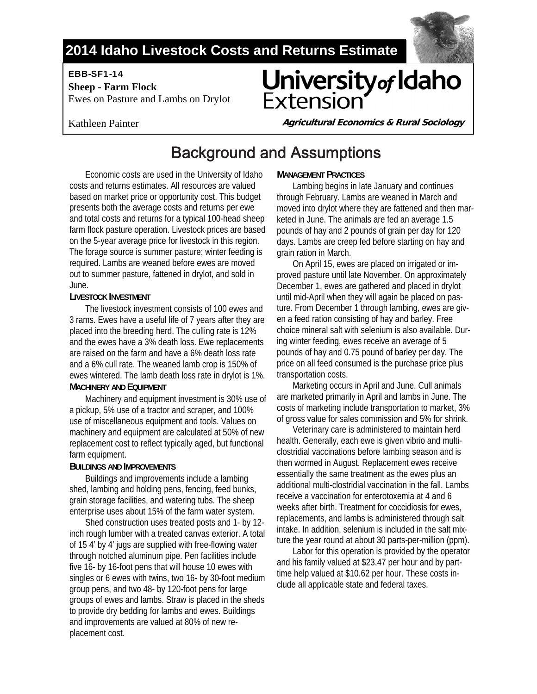### **2014 Idaho Livestock Costs and Returns Estimate**

EBB-SF1-14

 **Sheep - Farm Flock**  Ewes on Pasture and Lambs on Drylot

# University of Idaho Extensior



**Agricultural Economics & Rural Sociology** 

## Background and Assumptions

Economic costs are used in the University of Idaho costs and returns estimates. All resources are valued based on market price or opportunity cost. This budget presents both the average costs and returns per ewe and total costs and returns for a typical 100-head sheep farm flock pasture operation. Livestock prices are based on the 5-year average price for livestock in this region. The forage source is summer pasture; winter feeding is required. Lambs are weaned before ewes are moved out to summer pasture, fattened in drylot, and sold in June.

#### **LIVESTOCK INVESTMENT**

The livestock investment consists of 100 ewes and 3 rams. Ewes have a useful life of 7 years after they are placed into the breeding herd. The culling rate is 12% and the ewes have a 3% death loss. Ewe replacements are raised on the farm and have a 6% death loss rate and a 6% cull rate. The weaned lamb crop is 150% of ewes wintered. The lamb death loss rate in drylot is 1%. **MACHINERY AND EQUIPMENT** 

Machinery and equipment investment is 30% use of a pickup, 5% use of a tractor and scraper, and 100% use of miscellaneous equipment and tools. Values on machinery and equipment are calculated at 50% of new replacement cost to reflect typically aged, but functional farm equipment.

### **BUILDINGS AND IMPROVEMENTS**

Buildings and improvements include a lambing shed, lambing and holding pens, fencing, feed bunks, grain storage facilities, and watering tubs. The sheep enterprise uses about 15% of the farm water system.

Shed construction uses treated posts and 1- by 12 inch rough lumber with a treated canvas exterior. A total of 15 4' by 4' jugs are supplied with free-flowing water through notched aluminum pipe. Pen facilities include five 16- by 16-foot pens that will house 10 ewes with singles or 6 ewes with twins, two 16- by 30-foot medium group pens, and two 48- by 120-foot pens for large groups of ewes and lambs. Straw is placed in the sheds to provide dry bedding for lambs and ewes. Buildings and improvements are valued at 80% of new replacement cost.

### **MANAGEMENT PRACTICES**

Lambing begins in late January and continues through February. Lambs are weaned in March and moved into drylot where they are fattened and then marketed in June. The animals are fed an average 1.5 pounds of hay and 2 pounds of grain per day for 120 days. Lambs are creep fed before starting on hay and grain ration in March.

On April 15, ewes are placed on irrigated or improved pasture until late November. On approximately December 1, ewes are gathered and placed in drylot until mid-April when they will again be placed on pasture. From December 1 through lambing, ewes are given a feed ration consisting of hay and barley. Free choice mineral salt with selenium is also available. During winter feeding, ewes receive an average of 5 pounds of hay and 0.75 pound of barley per day. The price on all feed consumed is the purchase price plus transportation costs.

Marketing occurs in April and June. Cull animals are marketed primarily in April and lambs in June. The costs of marketing include transportation to market, 3% of gross value for sales commission and 5% for shrink.

Veterinary care is administered to maintain herd health. Generally, each ewe is given vibrio and multiclostridial vaccinations before lambing season and is then wormed in August. Replacement ewes receive essentially the same treatment as the ewes plus an additional multi-clostridial vaccination in the fall. Lambs receive a vaccination for enterotoxemia at 4 and 6 weeks after birth. Treatment for coccidiosis for ewes, replacements, and lambs is administered through salt intake. In addition, selenium is included in the salt mixture the year round at about 30 parts-per-million (ppm).

Labor for this operation is provided by the operator and his family valued at \$23.47 per hour and by parttime help valued at \$10.62 per hour. These costs include all applicable state and federal taxes.

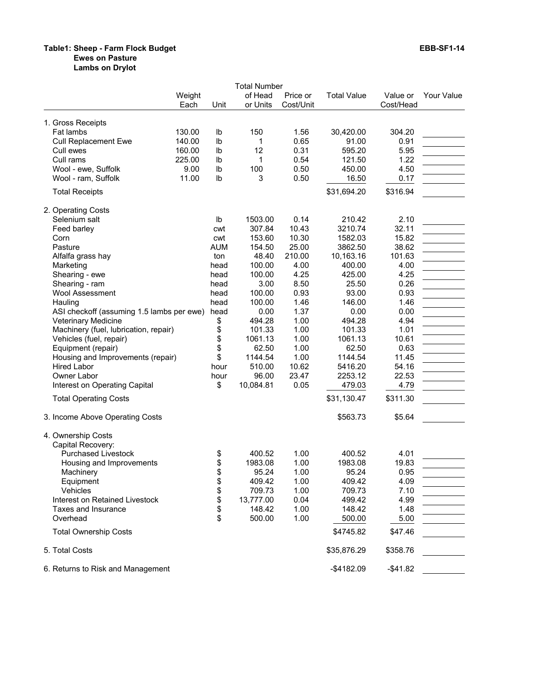#### **Table1: Sheep - Farm Flock Budget EBB-SF1-14 Ewes on Pasture**

**Lambs on Drylot**

|                                           |                |                | <b>Total Number</b> |                       |                    |                       |            |
|-------------------------------------------|----------------|----------------|---------------------|-----------------------|--------------------|-----------------------|------------|
|                                           | Weight<br>Each | Unit           | of Head<br>or Units | Price or<br>Cost/Unit | <b>Total Value</b> | Value or<br>Cost/Head | Your Value |
| 1. Gross Receipts                         |                |                |                     |                       |                    |                       |            |
| Fat lambs                                 | 130.00         | Ib             | 150                 | 1.56                  | 30,420.00          | 304.20                |            |
| Cull Replacement Ewe                      | 140.00         | lb             | 1                   | 0.65                  | 91.00              | 0.91                  |            |
| Cull ewes                                 | 160.00         | lb             | 12                  | 0.31                  | 595.20             | 5.95                  |            |
| Cull rams                                 | 225.00         | I <sub>b</sub> | 1                   | 0.54                  | 121.50             | 1.22                  |            |
| Wool - ewe, Suffolk                       | 9.00           | lb             | 100                 | 0.50                  | 450.00             | 4.50                  |            |
| Wool - ram, Suffolk                       | 11.00          | I <sub>b</sub> | 3                   | 0.50                  | 16.50              | 0.17                  |            |
| <b>Total Receipts</b>                     |                |                |                     |                       | \$31,694.20        | \$316.94              |            |
| 2. Operating Costs                        |                |                |                     |                       |                    |                       |            |
| Selenium salt                             |                | Ib             | 1503.00             | 0.14                  | 210.42             | 2.10                  |            |
| Feed barley                               |                | cwt            | 307.84              | 10.43                 | 3210.74            | 32.11                 |            |
| Corn                                      |                | cwt            | 153.60              | 10.30                 | 1582.03            | 15.82                 |            |
| Pasture                                   |                | <b>AUM</b>     | 154.50              | 25.00                 | 3862.50            | 38.62                 |            |
| Alfalfa grass hay                         |                | ton            | 48.40               | 210.00                | 10,163.16          | 101.63                |            |
| Marketing                                 |                | head           | 100.00              | 4.00                  | 400.00             | 4.00                  |            |
| Shearing - ewe                            |                | head           | 100.00              | 4.25                  | 425.00             | 4.25                  |            |
| Shearing - ram                            |                | head           | 3.00                | 8.50                  | 25.50              | 0.26                  |            |
| <b>Wool Assessment</b>                    |                | head           | 100.00              | 0.93                  | 93.00              | 0.93                  |            |
| Hauling                                   |                | head           | 100.00              | 1.46                  | 146.00             | 1.46                  |            |
| ASI checkoff (assuming 1.5 lambs per ewe) |                | head           | 0.00                | 1.37                  | 0.00               | 0.00                  |            |
| Veterinary Medicine                       |                | \$             | 494.28              | 1.00                  | 494.28             | 4.94                  |            |
| Machinery (fuel, lubrication, repair)     |                | \$             | 101.33              | 1.00                  | 101.33             | 1.01                  |            |
| Vehicles (fuel, repair)                   |                | \$             | 1061.13             | 1.00                  | 1061.13            | 10.61                 |            |
| Equipment (repair)                        |                | \$             | 62.50               | 1.00                  | 62.50              | 0.63                  |            |
| Housing and Improvements (repair)         |                | \$             | 1144.54             | 1.00                  | 1144.54            | 11.45                 |            |
| Hired Labor                               |                | hour           | 510.00              | 10.62                 | 5416.20            | 54.16                 |            |
| Owner Labor                               |                | hour           | 96.00               | 23.47                 | 2253.12            | 22.53                 |            |
| Interest on Operating Capital             |                | \$             | 10,084.81           | 0.05                  | 479.03             | 4.79                  |            |
| <b>Total Operating Costs</b>              |                |                |                     |                       | \$31,130.47        | \$311.30              |            |
| 3. Income Above Operating Costs           |                |                |                     |                       | \$563.73           | \$5.64                |            |
| 4. Ownership Costs                        |                |                |                     |                       |                    |                       |            |
| Capital Recovery:                         |                |                |                     |                       |                    |                       |            |
| <b>Purchased Livestock</b>                |                | \$             | 400.52              | 1.00                  | 400.52             | 4.01                  |            |
| Housing and Improvements                  |                | \$             | 1983.08             | 1.00                  | 1983.08            | 19.83                 |            |
| Machinery                                 |                | \$             | 95.24               | 1.00                  | 95.24              | 0.95                  |            |
| Equipment                                 |                | \$             | 409.42              | 1.00                  | 409.42             | 4.09                  |            |
| Vehicles                                  |                | \$             | 709.73              | 1.00                  | 709.73             | 7.10                  |            |
| Interest on Retained Livestock            |                | \$             | 13,777.00           | 0.04                  | 499.42             | 4.99                  |            |
| Taxes and Insurance                       |                | \$             | 148.42              | 1.00                  | 148.42             | 1.48                  |            |
| Overhead                                  |                | \$             | 500.00              | 1.00                  | 500.00             | 5.00                  |            |
| <b>Total Ownership Costs</b>              |                |                |                     |                       |                    |                       |            |
|                                           |                |                |                     |                       | \$4745.82          | \$47.46               |            |
| 5. Total Costs                            |                |                |                     |                       | \$35,876.29        | \$358.76              |            |
| 6. Returns to Risk and Management         |                |                |                     |                       | $-$4182.09$        | $-$ \$41.82           |            |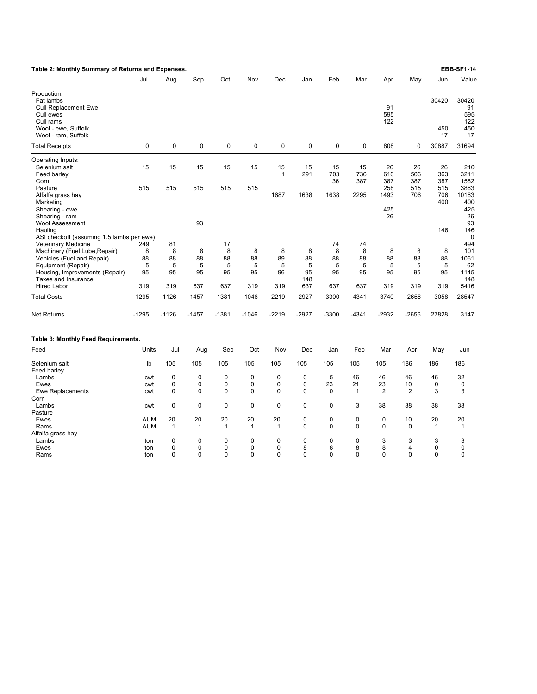| Table 2: Monthly Summary of Returns and Expenses.                              |             |              |           |              |              |                    |             |                 |                  |                  |                  |                  | <b>EBB-SF1-14</b>  |
|--------------------------------------------------------------------------------|-------------|--------------|-----------|--------------|--------------|--------------------|-------------|-----------------|------------------|------------------|------------------|------------------|--------------------|
|                                                                                | Jul         | Aug          | Sep       | Oct          | Nov          | Dec                | Jan         | Feb             | Mar              | Apr              | May              | Jun              | Value              |
| Production:<br>Fat lambs                                                       |             |              |           |              |              |                    |             |                 |                  |                  |                  | 30420            | 30420              |
| <b>Cull Replacement Ewe</b><br>Cull ewes                                       |             |              |           |              |              |                    |             |                 |                  | 91<br>595        |                  |                  | 91<br>595          |
| Cull rams<br>Wool - ewe, Suffolk<br>Wool - ram, Suffolk                        |             |              |           |              |              |                    |             |                 |                  | 122              |                  | 450<br>17        | 122<br>450<br>17   |
| <b>Total Receipts</b>                                                          | $\mathbf 0$ | 0            | $\pmb{0}$ | 0            | $\mathbf 0$  | 0                  | 0           | 0               | 0                | 808              | $\mathbf 0$      | 30887            | 31694              |
| Operating Inputs:                                                              |             |              |           |              |              |                    |             |                 |                  |                  |                  |                  |                    |
| Selenium salt<br>Feed barley                                                   | 15          | 15           | 15        | 15           | 15           | 15<br>$\mathbf{1}$ | 15<br>291   | 15<br>703<br>36 | 15<br>736<br>387 | 26<br>610<br>387 | 26<br>506<br>387 | 26<br>363<br>387 | 210<br>3211        |
| Corn<br>Pasture                                                                | 515         | 515          | 515       | 515          | 515          |                    |             |                 |                  | 258              | 515              | 515              | 1582<br>3863       |
| Alfalfa grass hay<br>Marketing                                                 |             |              |           |              |              | 1687               | 1638        | 1638            | 2295             | 1493             | 706              | 706<br>400       | 10163<br>400       |
| Shearing - ewe<br>Shearing - ram                                               |             |              | 93        |              |              |                    |             |                 |                  | 425<br>26        |                  |                  | 425<br>26<br>93    |
| <b>Wool Assessment</b><br>Hauling<br>ASI checkoff (assuming 1.5 lambs per ewe) |             |              |           |              |              |                    |             |                 |                  |                  |                  | 146              | 146<br>$\mathbf 0$ |
| <b>Veterinary Medicine</b>                                                     | 249         | 81           |           | 17           |              |                    |             | 74              | 74               |                  |                  |                  | 494                |
| Machinery (Fuel, Lube, Repair)                                                 | 8           | 8            | 8         | 8            | 8            | 8                  | 8           | 8               | 8                | 8                | 8                | 8                | 101                |
| Vehicles (Fuel and Repair)                                                     | 88          | 88           | 88        | 88           | 88           | 89                 | 88          | 88              | 88               | 88               | 88               | 88               | 1061               |
| Equipment (Repair)                                                             | 5           | 5            | 5         | 5            | 5            | 5                  | 5           | 5               | 5                | 5                | 5                | 5                | 62                 |
| Housing, Improvements (Repair)<br>Taxes and Insurance                          | 95          | 95           | 95        | 95           | 95           | 96                 | 95<br>148   | 95              | 95               | 95               | 95               | 95               | 1145<br>148        |
| <b>Hired Labor</b>                                                             | 319         | 319          | 637       | 637          | 319          | 319                | 637         | 637             | 637              | 319              | 319              | 319              | 5416               |
| <b>Total Costs</b>                                                             | 1295        | 1126         | 1457      | 1381         | 1046         | 2219               | 2927        | 3300            | 4341             | 3740             | 2656             | 3058             | 28547              |
| <b>Net Returns</b>                                                             | $-1295$     | $-1126$      | $-1457$   | $-1381$      | $-1046$      | $-2219$            | $-2927$     | $-3300$         | $-4341$          | $-2932$          | $-2656$          | 27828            | 3147               |
| Table 3: Monthly Feed Requirements.                                            |             |              |           |              |              |                    |             |                 |                  |                  |                  |                  |                    |
| Feed                                                                           | Units       | Jul          | Aug       | Sep          | Oct          | Nov                | Dec         | Jan             | Feb              | Mar              | Apr              | May              | Jun                |
| Selenium salt<br>Feed barley                                                   | lb          | 105          | 105       | 105          | 105          | 105                | 105         | 105             | 105              | 105              | 186              | 186              | 186                |
| Lambs                                                                          | cwt         | 0            | 0         | $\mathbf 0$  | 0            | 0                  | 0           | 5               | 46               | 46               | 46               | 46               | 32                 |
| Ewes                                                                           | cwt         | $\mathbf 0$  | 0         | $\mathbf 0$  | 0            | $\mathbf 0$        | $\mathbf 0$ | 23              | 21               | 23               | 10               | $\mathbf 0$      | $\mathbf 0$        |
| Ewe Replacements                                                               | cwt         | $\mathbf 0$  | 0         | $\mathbf 0$  | 0            | $\mathbf 0$        | $\mathbf 0$ | 0               | $\mathbf{1}$     | $\overline{2}$   | $\overline{2}$   | 3                | 3                  |
| Corn                                                                           |             |              |           |              |              |                    |             |                 |                  |                  |                  |                  |                    |
| Lambs                                                                          | cwt         | $\mathbf 0$  | 0         | $\mathbf 0$  | 0            | $\mathbf 0$        | $\mathbf 0$ | $\mathbf 0$     | 3                | 38               | 38               | 38               | 38                 |
| Pasture                                                                        |             |              |           |              |              |                    |             |                 |                  |                  |                  |                  |                    |
| Ewes                                                                           | AUM         | 20           | 20        | 20           | 20           | 20                 | 0           | 0               | 0                | 0                | 10               | 20               | 20                 |
| Rams                                                                           | <b>AUM</b>  | $\mathbf{1}$ | 1         | $\mathbf{1}$ | $\mathbf{1}$ | $\mathbf{1}$       | $\mathbf 0$ | 0               | $\mathbf 0$      | 0                | $\mathbf 0$      | $\mathbf{1}$     | 1                  |
| Alfalfa grass hay<br>Lambs                                                     |             | 0            | 0         | 0            | 0            | 0                  | 0           | 0               | 0                | 3                | 3                | 3                | 3                  |
| Ewes                                                                           | ton<br>ton  | 0            | 0         | $\mathbf 0$  | 0            | 0                  | 8           | 8               | 8                | 8                | 4                | $\mathbf 0$      | 0                  |
| Rams                                                                           | ton         | $\Omega$     | 0         | $\Omega$     | $\Omega$     | $\Omega$           | $\Omega$    | 0               | $\Omega$         | $\Omega$         | $\Omega$         | $\Omega$         | $\Omega$           |